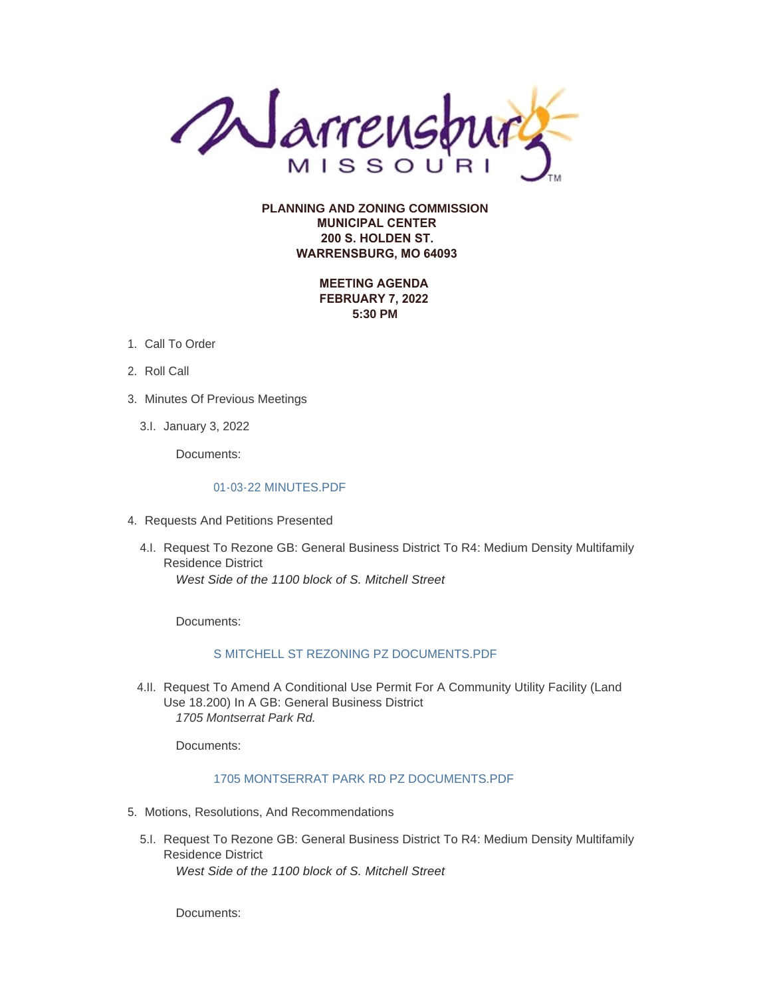

**PLANNING AND ZONING COMMISSION MUNICIPAL CENTER 200 S. HOLDEN ST. WARRENSBURG, MO 64093**

> **MEETING AGENDA FEBRUARY 7, 2022 5:30 PM**

- 1. Call To Order
- 2. Roll Call
- 3. Minutes Of Previous Meetings
	- 3.I. January 3, 2022

Documents:

### [01-03-22 MINUTES.PDF](https://www.warrensburg-mo.com/AgendaCenter/ViewFile/Item/5799?fileID=10301)

- 4. Requests And Petitions Presented
	- 4.I. Request To Rezone GB: General Business District To R4: Medium Density Multifamily Residence District *West Side of the 1100 block of S. Mitchell Street*

Documents:

### [S MITCHELL ST REZONING PZ DOCUMENTS.PDF](https://www.warrensburg-mo.com/AgendaCenter/ViewFile/Item/5848?fileID=10298)

4.II. Request To Amend A Conditional Use Permit For A Community Utility Facility (Land Use 18.200) In A GB: General Business District *1705 Montserrat Park Rd.*

Documents:

### [1705 MONTSERRAT PARK RD PZ DOCUMENTS.PDF](https://www.warrensburg-mo.com/AgendaCenter/ViewFile/Item/5928?fileID=10300)

- 5. Motions, Resolutions, And Recommendations
	- 5.I. Request To Rezone GB: General Business District To R4: Medium Density Multifamily Residence District *West Side of the 1100 block of S. Mitchell Street*

Documents: